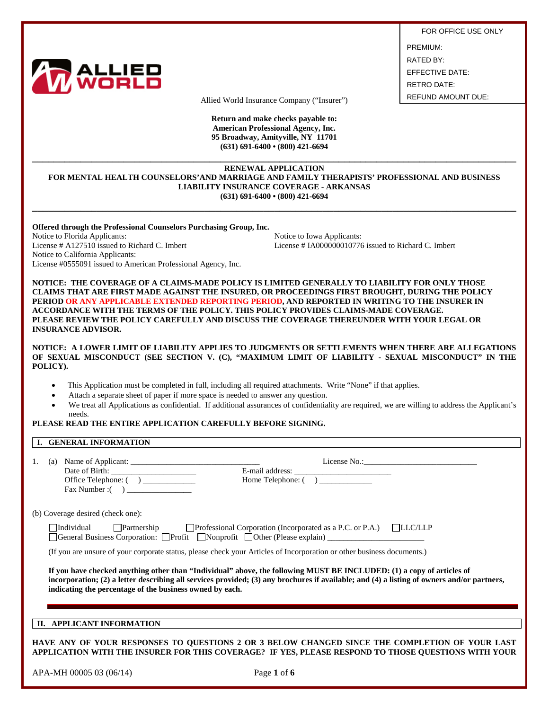

FOR OFFICE USE ONLY

PREMIUM: RATED BY: EFFECTIVE DATE: RETRO DATE:

Allied World Insurance Company ("Insurer") REFUND AMOUNT DUE:

**Return and make checks payable to: American Professional Agency, Inc. 95 Broadway, Amityville, NY 11701 (631) 691-6400 • (800) 421-6694**

### **\_\_\_\_\_\_\_\_\_\_\_\_\_\_\_\_\_\_\_\_\_\_\_\_\_\_\_\_\_\_\_\_\_\_\_\_\_\_\_\_\_\_\_\_\_\_\_\_\_\_\_\_\_\_\_\_\_\_\_\_\_\_\_\_\_\_\_\_\_\_\_\_\_\_\_\_\_\_\_\_\_\_\_\_\_\_\_\_\_\_ RENEWAL APPLICATION FOR MENTAL HEALTH COUNSELORS'AND MARRIAGE AND FAMILY THERAPISTS' PROFESSIONAL AND BUSINESS LIABILITY INSURANCE COVERAGE - ARKANSAS (631) 691-6400 • (800) 421-6694**

**\_\_\_\_\_\_\_\_\_\_\_\_\_\_\_\_\_\_\_\_\_\_\_\_\_\_\_\_\_\_\_\_\_\_\_\_\_\_\_\_\_\_\_\_\_\_\_\_\_\_\_\_\_\_\_\_\_\_\_\_\_\_\_\_\_\_\_\_\_\_\_\_\_\_\_\_\_\_\_\_\_\_\_\_\_\_\_\_\_\_**

**Offered through the Professional Counselors Purchasing Group, Inc.**

Notice to Florida Applicants:<br>
License # A127510 issued to Richard C. Imbert<br>
License # IA000000010776 Notice to California Applicants: License #0555091 issued to American Professional Agency, Inc.

License # IA000000010776 issued to Richard C. Imbert

**NOTICE: THE COVERAGE OF A CLAIMS-MADE POLICY IS LIMITED GENERALLY TO LIABILITY FOR ONLY THOSE CLAIMS THAT ARE FIRST MADE AGAINST THE INSURED, OR PROCEEDINGS FIRST BROUGHT, DURING THE POLICY PERIOD OR ANY APPLICABLE EXTENDED REPORTING PERIOD, AND REPORTED IN WRITING TO THE INSURER IN ACCORDANCE WITH THE TERMS OF THE POLICY. THIS POLICY PROVIDES CLAIMS-MADE COVERAGE. PLEASE REVIEW THE POLICY CAREFULLY AND DISCUSS THE COVERAGE THEREUNDER WITH YOUR LEGAL OR INSURANCE ADVISOR.** 

**NOTICE: A LOWER LIMIT OF LIABILITY APPLIES TO JUDGMENTS OR SETTLEMENTS WHEN THERE ARE ALLEGATIONS OF SEXUAL MISCONDUCT (SEE SECTION V. (C), "MAXIMUM LIMIT OF LIABILITY - SEXUAL MISCONDUCT" IN THE POLICY).** 

- This Application must be completed in full, including all required attachments. Write "None" if that applies.
- Attach a separate sheet of paper if more space is needed to answer any question.
- We treat all Applications as confidential. If additional assurances of confidentiality are required, we are willing to address the Applicant's needs.

### **PLEASE READ THE ENTIRE APPLICATION CAREFULLY BEFORE SIGNING.**

### **I. GENERAL INFORMATION**

| 1.<br>Office Telephone: ( ) __________                   | Home Telephone: ()                                                                                                                                                                                                                                                                                                           |  |
|----------------------------------------------------------|------------------------------------------------------------------------------------------------------------------------------------------------------------------------------------------------------------------------------------------------------------------------------------------------------------------------------|--|
| (b) Coverage desired (check one):                        |                                                                                                                                                                                                                                                                                                                              |  |
| <b>Individual</b>                                        | $\Box$ Partnership $\Box$ Professional Corporation (Incorporated as a P.C. or P.A.) $\Box$ LLC/LLP<br>□General Business Corporation: □Profit □Nonprofit □Other (Please explain) __________________<br>(If you are unsure of your corporate status, please check your Articles of Incorporation or other business documents.) |  |
| indicating the percentage of the business owned by each. | If you have checked anything other than "Individual" above, the following MUST BE INCLUDED: (1) a copy of articles of<br>incorporation; (2) a letter describing all services provided; (3) any brochures if available; and (4) a listing of owners and/or partners,                                                          |  |
| APPLICANT INFORMATION<br>Н.                              |                                                                                                                                                                                                                                                                                                                              |  |

**HAVE ANY OF YOUR RESPONSES TO QUESTIONS 2 OR 3 BELOW CHANGED SINCE THE COMPLETION OF YOUR LAST APPLICATION WITH THE INSURER FOR THIS COVERAGE? IF YES, PLEASE RESPOND TO THOSE QUESTIONS WITH YOUR**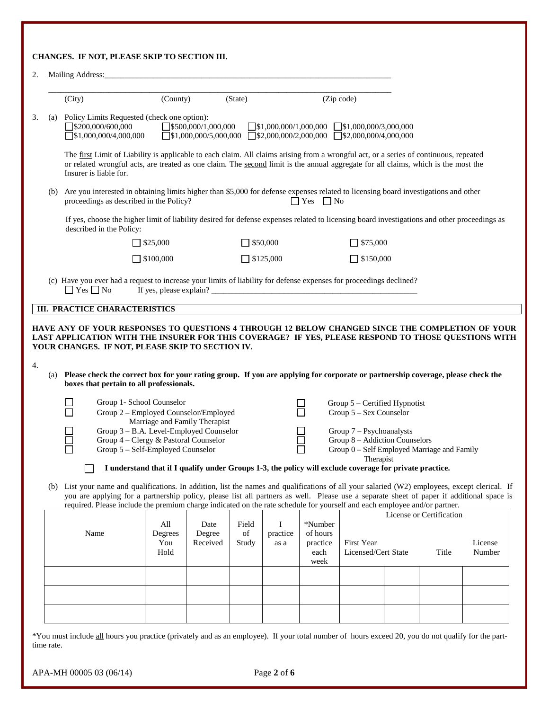|     | (City)                                                                                                      | (County)                                                                   |                            | (State)              |                       |                                 | (Zip code)                                                                                                                                                                                                                                                                                 |                          |                   |
|-----|-------------------------------------------------------------------------------------------------------------|----------------------------------------------------------------------------|----------------------------|----------------------|-----------------------|---------------------------------|--------------------------------------------------------------------------------------------------------------------------------------------------------------------------------------------------------------------------------------------------------------------------------------------|--------------------------|-------------------|
|     | (a) Policy Limits Requested (check one option):<br>$\Box$ \$200,000/600,000<br>$\Box$ \$1,000,000/4,000,000 |                                                                            | 5500,000/1,000,000         |                      |                       |                                 | $\Box$ \$1,000,000/1,000,000 $\Box$ \$1,000,000/3,000,000<br>$\exists$ \$1,000,000/5,000,000 $\Box$ \$2,000,000/2,000,000 $\Box$ \$2,000,000/4,000,000                                                                                                                                     |                          |                   |
|     | Insurer is liable for.                                                                                      |                                                                            |                            |                      |                       |                                 | The first Limit of Liability is applicable to each claim. All claims arising from a wrongful act, or a series of continuous, repeated<br>or related wrongful acts, are treated as one claim. The second limit is the annual aggregate for all claims, which is the most the                |                          |                   |
| (b) |                                                                                                             | proceedings as described in the Policy?                                    |                            |                      |                       | $\Box$ Yes $\Box$ No            | Are you interested in obtaining limits higher than \$5,000 for defense expenses related to licensing board investigations and other                                                                                                                                                        |                          |                   |
|     | described in the Policy:                                                                                    |                                                                            |                            |                      |                       |                                 | If yes, choose the higher limit of liability desired for defense expenses related to licensing board investigations and other proceedings as                                                                                                                                               |                          |                   |
|     |                                                                                                             | $\Box$ \$25,000                                                            |                            | $\Box$ \$50,000      |                       |                                 | $\Box$ \$75,000                                                                                                                                                                                                                                                                            |                          |                   |
|     |                                                                                                             | $\Box$ \$100,000                                                           |                            | $\Box$ \$125,000     |                       |                                 | $\Box$ \$150,000                                                                                                                                                                                                                                                                           |                          |                   |
|     | $\Box$ Yes $\Box$ No                                                                                        |                                                                            |                            |                      |                       |                                 | (c) Have you ever had a request to increase your limits of liability for defense expenses for proceedings declined?                                                                                                                                                                        |                          |                   |
|     | <b>III. PRACTICE CHARACTERISTICS</b>                                                                        |                                                                            |                            |                      |                       |                                 |                                                                                                                                                                                                                                                                                            |                          |                   |
|     | YOUR CHANGES. IF NOT, PLEASE SKIP TO SECTION IV.                                                            |                                                                            |                            |                      |                       |                                 | HAVE ANY OF YOUR RESPONSES TO QUESTIONS 4 THROUGH 12 BELOW CHANGED SINCE THE COMPLETION OF YOUR<br>LAST APPLICATION WITH THE INSURER FOR THIS COVERAGE? IF YES, PLEASE RESPOND TO THOSE QUESTIONS WITH                                                                                     |                          |                   |
| (a) |                                                                                                             | boxes that pertain to all professionals.                                   |                            |                      |                       |                                 | Please check the correct box for your rating group. If you are applying for corporate or partnership coverage, please check the                                                                                                                                                            |                          |                   |
|     |                                                                                                             | Group 1- School Counselor                                                  |                            |                      |                       |                                 | Group $5$ – Certified Hypnotist                                                                                                                                                                                                                                                            |                          |                   |
|     |                                                                                                             | Group 2 - Employed Counselor/Employed                                      |                            |                      |                       |                                 | Group 5 - Sex Counselor                                                                                                                                                                                                                                                                    |                          |                   |
|     |                                                                                                             | Marriage and Family Therapist<br>Group 3 - B.A. Level-Employed Counselor   |                            |                      |                       |                                 | Group 7 - Psychoanalysts                                                                                                                                                                                                                                                                   |                          |                   |
|     |                                                                                                             | Group 4 - Clergy & Pastoral Counselor<br>Group 5 – Self-Employed Counselor |                            |                      |                       |                                 | Group 8 – Addiction Counselors<br>Group 0 - Self Employed Marriage and Family                                                                                                                                                                                                              |                          |                   |
|     |                                                                                                             |                                                                            |                            |                      |                       |                                 | Therapist<br>I understand that if I qualify under Groups 1-3, the policy will exclude coverage for private practice.                                                                                                                                                                       |                          |                   |
|     |                                                                                                             |                                                                            |                            |                      |                       |                                 | (b) List your name and qualifications. In addition, list the names and qualifications of all your salaried (W2) employees, except clerical. If<br>you are applying for a partnership policy, please list all partners as well. Please use a separate sheet of paper if additional space is |                          |                   |
|     |                                                                                                             |                                                                            |                            |                      |                       |                                 | required. Please include the premium charge indicated on the rate schedule for yourself and each employee and/or partner.                                                                                                                                                                  | License or Certification |                   |
|     | Name                                                                                                        | All<br>Degrees<br>You                                                      | Date<br>Degree<br>Received | Field<br>of<br>Study | I<br>practice<br>as a | *Number<br>of hours<br>practice | First Year                                                                                                                                                                                                                                                                                 |                          |                   |
|     |                                                                                                             | Hold                                                                       |                            |                      |                       | each<br>week                    | Licensed/Cert State                                                                                                                                                                                                                                                                        | Title                    |                   |
|     |                                                                                                             |                                                                            |                            |                      |                       |                                 |                                                                                                                                                                                                                                                                                            |                          | License<br>Number |
|     |                                                                                                             |                                                                            |                            |                      |                       |                                 |                                                                                                                                                                                                                                                                                            |                          |                   |
|     |                                                                                                             |                                                                            |                            |                      |                       |                                 |                                                                                                                                                                                                                                                                                            |                          |                   |

\*You must include all hours you practice (privately and as an employee). If your total number of hours exceed 20, you do not qualify for the parttime rate.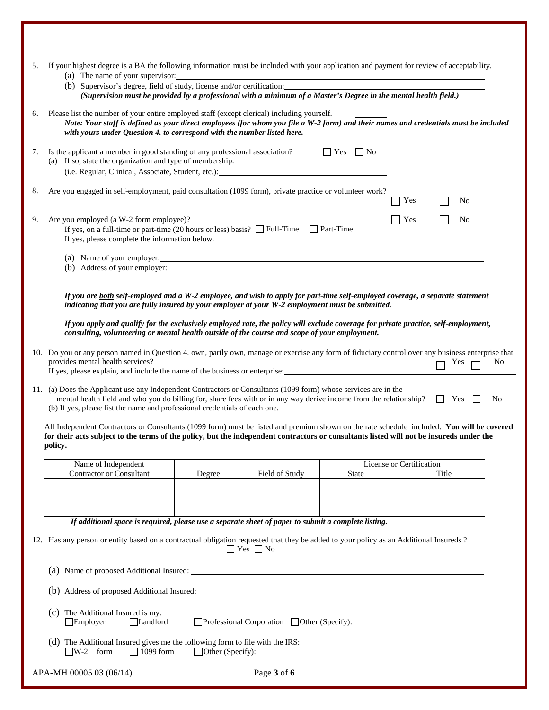| 5. | If your highest degree is a BA the following information must be included with your application and payment for review of acceptability.<br>(a) The name of your supervisor:<br>(b) Supervisor's degree, field of study, license and/or certification:<br>(Supervision must be provided by a professional with a minimum of a Master's Degree in the mental health field.) |                          |            |                |
|----|----------------------------------------------------------------------------------------------------------------------------------------------------------------------------------------------------------------------------------------------------------------------------------------------------------------------------------------------------------------------------|--------------------------|------------|----------------|
| 6. | Please list the number of your entire employed staff (except clerical) including yourself.<br>Note: Your staff is defined as your direct employees (for whom you file a W-2 form) and their names and credentials must be included<br>with yours under Question 4. to correspond with the number listed here.                                                              |                          |            |                |
| 7. | $\Box$ Yes $\Box$ No<br>Is the applicant a member in good standing of any professional association?<br>(a) If so, state the organization and type of membership.                                                                                                                                                                                                           |                          |            |                |
| 8. | Are you engaged in self-employment, paid consultation (1099 form), private practice or volunteer work?                                                                                                                                                                                                                                                                     | Yes                      | No         |                |
| 9. | Are you employed (a W-2 form employee)?<br>If yes, on a full-time or part-time (20 hours or less) basis? $\Box$ Full-Time $\Box$ Part-Time<br>If yes, please complete the information below.                                                                                                                                                                               | Yes                      | No         |                |
|    | (a) Name of your employer:                                                                                                                                                                                                                                                                                                                                                 |                          |            |                |
|    | If you are both self-employed and a W-2 employee, and wish to apply for part-time self-employed coverage, a separate statement<br>indicating that you are fully insured by your employer at your W-2 employment must be submitted.                                                                                                                                         |                          |            |                |
|    | If you apply and qualify for the exclusively employed rate, the policy will exclude coverage for private practice, self-employment,<br>consulting, volunteering or mental health outside of the course and scope of your employment.                                                                                                                                       |                          |            |                |
|    | 10. Do you or any person named in Question 4. own, partly own, manage or exercise any form of fiduciary control over any business enterprise that<br>provides mental health services?<br>If yes, please explain, and include the name of the business or enterprise:                                                                                                       |                          | Yes        | N <sub>0</sub> |
|    | 11. (a) Does the Applicant use any Independent Contractors or Consultants (1099 form) whose services are in the<br>mental health field and who you do billing for, share fees with or in any way derive income from the relationship?<br>(b) If yes, please list the name and professional credentials of each one.                                                        |                          | $\Box$ Yes | N <sub>0</sub> |
|    | All Independent Contractors or Consultants (1099 form) must be listed and premium shown on the rate schedule included. You will be covered<br>for their acts subject to the terms of the policy, but the independent contractors or consultants listed will not be insureds under the<br>policy.                                                                           |                          |            |                |
|    | Name of Independent                                                                                                                                                                                                                                                                                                                                                        | License or Certification |            |                |
|    | <b>Contractor or Consultant</b><br>Field of Study<br>Degree<br>State                                                                                                                                                                                                                                                                                                       |                          | Title      |                |
|    |                                                                                                                                                                                                                                                                                                                                                                            |                          |            |                |
|    | If additional space is required, please use a separate sheet of paper to submit a complete listing.                                                                                                                                                                                                                                                                        |                          |            |                |
|    | 12. Has any person or entity based on a contractual obligation requested that they be added to your policy as an Additional Insureds?<br>$\Box$ Yes $\Box$ No                                                                                                                                                                                                              |                          |            |                |
|    |                                                                                                                                                                                                                                                                                                                                                                            |                          |            |                |
|    |                                                                                                                                                                                                                                                                                                                                                                            |                          |            |                |
|    | The Additional Insured is my:<br>$\left( c\right)$<br>$\Box$ Employer<br>Landlord<br>□Professional Corporation □ Other (Specify): ________                                                                                                                                                                                                                                 |                          |            |                |
|    | (d) The Additional Insured gives me the following form to file with the IRS:<br>$\Box$ W-2 form<br>$\Box$ 1099 form                                                                                                                                                                                                                                                        |                          |            |                |
|    | Page 3 of 6<br>APA-MH 00005 03 (06/14)                                                                                                                                                                                                                                                                                                                                     |                          |            |                |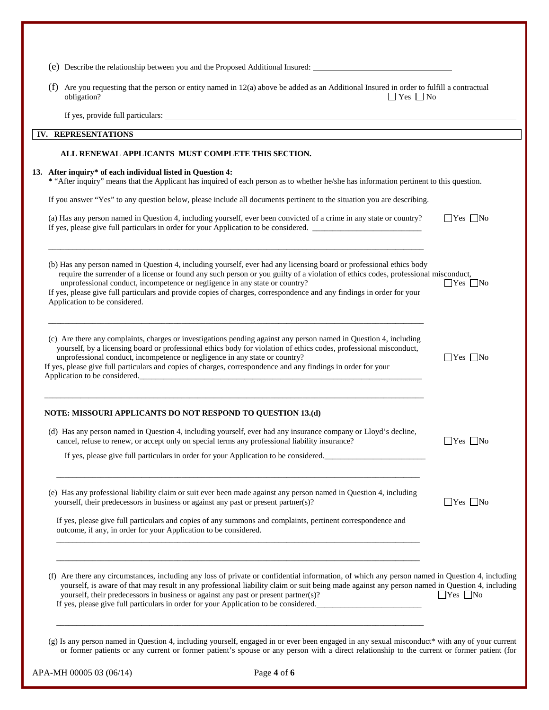| (f) | Are you requesting that the person or entity named in 12(a) above be added as an Additional Insured in order to fulfill a contractual<br>obligation?<br>$\Box$ Yes $\Box$ No                                                                                                                                                                                                                                                                                                                        |                      |
|-----|-----------------------------------------------------------------------------------------------------------------------------------------------------------------------------------------------------------------------------------------------------------------------------------------------------------------------------------------------------------------------------------------------------------------------------------------------------------------------------------------------------|----------------------|
|     |                                                                                                                                                                                                                                                                                                                                                                                                                                                                                                     |                      |
|     | IV. REPRESENTATIONS                                                                                                                                                                                                                                                                                                                                                                                                                                                                                 |                      |
|     | ALL RENEWAL APPLICANTS MUST COMPLETE THIS SECTION.                                                                                                                                                                                                                                                                                                                                                                                                                                                  |                      |
|     | 13. After inquiry* of each individual listed in Question 4:<br>* "After inquiry" means that the Applicant has inquired of each person as to whether he/she has information pertinent to this question.                                                                                                                                                                                                                                                                                              |                      |
|     | If you answer "Yes" to any question below, please include all documents pertinent to the situation you are describing.                                                                                                                                                                                                                                                                                                                                                                              |                      |
|     | (a) Has any person named in Question 4, including yourself, ever been convicted of a crime in any state or country?<br>If yes, please give full particulars in order for your Application to be considered.                                                                                                                                                                                                                                                                                         | $\Box$ Yes $\Box$ No |
|     | (b) Has any person named in Question 4, including yourself, ever had any licensing board or professional ethics body<br>require the surrender of a license or found any such person or you guilty of a violation of ethics codes, professional misconduct,<br>unprofessional conduct, incompetence or negligence in any state or country?<br>If yes, please give full particulars and provide copies of charges, correspondence and any findings in order for your<br>Application to be considered. | $Yes$ No             |
|     | (c) Are there any complaints, charges or investigations pending against any person named in Question 4, including<br>yourself, by a licensing board or professional ethics body for violation of ethics codes, professional misconduct,<br>unprofessional conduct, incompetence or negligence in any state or country?<br>If yes, please give full particulars and copies of charges, correspondence and any findings in order for your<br>Application to be considered.                            | $\Box$ Yes $\Box$ No |
|     | NOTE: MISSOURI APPLICANTS DO NOT RESPOND TO QUESTION 13.(d)                                                                                                                                                                                                                                                                                                                                                                                                                                         |                      |
|     | (d) Has any person named in Question 4, including yourself, ever had any insurance company or Lloyd's decline,<br>cancel, refuse to renew, or accept only on special terms any professional liability insurance?                                                                                                                                                                                                                                                                                    | $\Box$ Yes $\Box$ No |
|     | If yes, please give full particulars in order for your Application to be considered.                                                                                                                                                                                                                                                                                                                                                                                                                |                      |
|     | (e) Has any professional liability claim or suit ever been made against any person named in Question 4, including<br>yourself, their predecessors in business or against any past or present partner(s)?                                                                                                                                                                                                                                                                                            | $\Box$ Yes $\Box$ No |
|     | If yes, please give full particulars and copies of any summons and complaints, pertinent correspondence and<br>outcome, if any, in order for your Application to be considered.                                                                                                                                                                                                                                                                                                                     |                      |
|     |                                                                                                                                                                                                                                                                                                                                                                                                                                                                                                     |                      |
|     | (f) Are there any circumstances, including any loss of private or confidential information, of which any person named in Question 4, including<br>yourself, is aware of that may result in any professional liability claim or suit being made against any person named in Question 4, including<br>yourself, their predecessors in business or against any past or present partner(s)?<br>If yes, please give full particulars in order for your Application to be considered.                     | $\Box$ Yes $\Box$ No |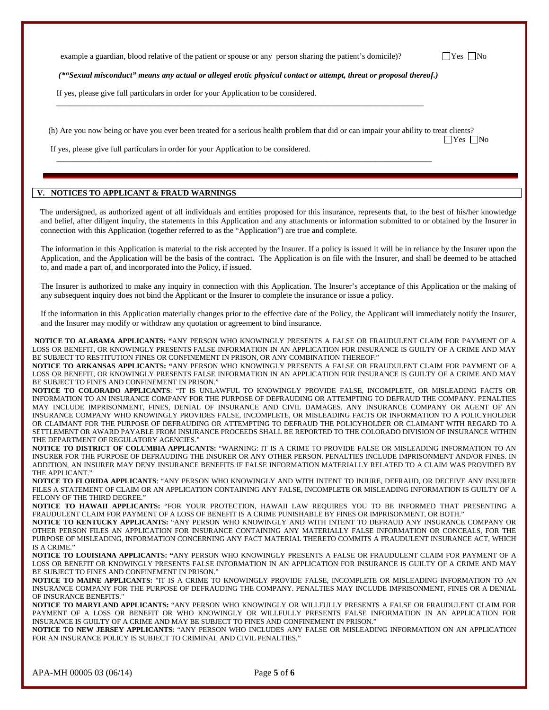example a guardian, blood relative of the patient or spouse or any person sharing the patient's domicile)?  $\Box$  Yes  $\Box$  No

*(\*"Sexual misconduct" means any actual or alleged erotic physical contact or attempt, threat or proposal thereof.)* 

 $\overline{\phantom{a}}$  ,  $\overline{\phantom{a}}$  ,  $\overline{\phantom{a}}$  ,  $\overline{\phantom{a}}$  ,  $\overline{\phantom{a}}$  ,  $\overline{\phantom{a}}$  ,  $\overline{\phantom{a}}$  ,  $\overline{\phantom{a}}$  ,  $\overline{\phantom{a}}$  ,  $\overline{\phantom{a}}$  ,  $\overline{\phantom{a}}$  ,  $\overline{\phantom{a}}$  ,  $\overline{\phantom{a}}$  ,  $\overline{\phantom{a}}$  ,  $\overline{\phantom{a}}$  ,  $\overline{\phantom{a}}$ 

 $\overline{\phantom{a}}$  ,  $\overline{\phantom{a}}$  ,  $\overline{\phantom{a}}$  ,  $\overline{\phantom{a}}$  ,  $\overline{\phantom{a}}$  ,  $\overline{\phantom{a}}$  ,  $\overline{\phantom{a}}$  ,  $\overline{\phantom{a}}$  ,  $\overline{\phantom{a}}$  ,  $\overline{\phantom{a}}$  ,  $\overline{\phantom{a}}$  ,  $\overline{\phantom{a}}$  ,  $\overline{\phantom{a}}$  ,  $\overline{\phantom{a}}$  ,  $\overline{\phantom{a}}$  ,  $\overline{\phantom{a}}$ 

If yes, please give full particulars in order for your Application to be considered.

(h) Are you now being or have you ever been treated for a serious health problem that did or can impair your ability to treat clients?

|  | ₩ |
|--|---|
|--|---|

If yes, please give full particulars in order for your Application to be considered.

# **V. NOTICES TO APPLICANT & FRAUD WARNINGS**

The undersigned, as authorized agent of all individuals and entities proposed for this insurance, represents that, to the best of his/her knowledge and belief, after diligent inquiry, the statements in this Application and any attachments or information submitted to or obtained by the Insurer in connection with this Application (together referred to as the "Application") are true and complete.

The information in this Application is material to the risk accepted by the Insurer. If a policy is issued it will be in reliance by the Insurer upon the Application, and the Application will be the basis of the contract. The Application is on file with the Insurer, and shall be deemed to be attached to, and made a part of, and incorporated into the Policy, if issued.

The Insurer is authorized to make any inquiry in connection with this Application. The Insurer's acceptance of this Application or the making of any subsequent inquiry does not bind the Applicant or the Insurer to complete the insurance or issue a policy.

If the information in this Application materially changes prior to the effective date of the Policy, the Applicant will immediately notify the Insurer, and the Insurer may modify or withdraw any quotation or agreement to bind insurance.

**NOTICE TO ALABAMA APPLICANTS: "**ANY PERSON WHO KNOWINGLY PRESENTS A FALSE OR FRAUDULENT CLAIM FOR PAYMENT OF A LOSS OR BENEFIT, OR KNOWINGLY PRESENTS FALSE INFORMATION IN AN APPLICATION FOR INSURANCE IS GUILTY OF A CRIME AND MAY BE SUBJECT TO RESTITUTION FINES OR CONFINEMENT IN PRISON, OR ANY COMBINATION THEREOF."

**NOTICE TO ARKANSAS APPLICANTS: "**ANY PERSON WHO KNOWINGLY PRESENTS A FALSE OR FRAUDULENT CLAIM FOR PAYMENT OF A LOSS OR BENEFIT, OR KNOWINGLY PRESENTS FALSE INFORMATION IN AN APPLICATION FOR INSURANCE IS GUILTY OF A CRIME AND MAY BE SUBJECT TO FINES AND CONFINEMENT IN PRISON."

**NOTICE TO COLORADO APPLICANTS**: "IT IS UNLAWFUL TO KNOWINGLY PROVIDE FALSE, INCOMPLETE, OR MISLEADING FACTS OR INFORMATION TO AN INSURANCE COMPANY FOR THE PURPOSE OF DEFRAUDING OR ATTEMPTING TO DEFRAUD THE COMPANY. PENALTIES MAY INCLUDE IMPRISONMENT, FINES, DENIAL OF INSURANCE AND CIVIL DAMAGES. ANY INSURANCE COMPANY OR AGENT OF AN INSURANCE COMPANY WHO KNOWINGLY PROVIDES FALSE, INCOMPLETE, OR MISLEADING FACTS OR INFORMATION TO A POLICYHOLDER OR CLAIMANT FOR THE PURPOSE OF DEFRAUDING OR ATTEMPTING TO DEFRAUD THE POLICYHOLDER OR CLAIMANT WITH REGARD TO A SETTLEMENT OR AWARD PAYABLE FROM INSURANCE PROCEEDS SHALL BE REPORTED TO THE COLORADO DIVISION OF INSURANCE WITHIN THE DEPARTMENT OF REGULATORY AGENCIES.'

**NOTICE TO DISTRICT OF COLUMBIA APPLICANTS:** "WARNING: IT IS A CRIME TO PROVIDE FALSE OR MISLEADING INFORMATION TO AN INSURER FOR THE PURPOSE OF DEFRAUDING THE INSURER OR ANY OTHER PERSON. PENALTIES INCLUDE IMPRISONMENT AND/OR FINES. IN ADDITION, AN INSURER MAY DENY INSURANCE BENEFITS IF FALSE INFORMATION MATERIALLY RELATED TO A CLAIM WAS PROVIDED BY THE APPLICANT."

**NOTICE TO FLORIDA APPLICANTS**: "ANY PERSON WHO KNOWINGLY AND WITH INTENT TO INJURE, DEFRAUD, OR DECEIVE ANY INSURER FILES A STATEMENT OF CLAIM OR AN APPLICATION CONTAINING ANY FALSE, INCOMPLETE OR MISLEADING INFORMATION IS GUILTY OF A FELONY OF THE THIRD DEGREE.'

**NOTICE TO HAWAII APPLICANTS:** "FOR YOUR PROTECTION, HAWAII LAW REQUIRES YOU TO BE INFORMED THAT PRESENTING A FRAUDULENT CLAIM FOR PAYMENT OF A LOSS OF BENEFIT IS A CRIME PUNISHABLE BY FINES OR IMPRISONMENT, OR BOTH."

**NOTICE TO KENTUCKY APPLICANTS:** "ANY PERSON WHO KNOWINGLY AND WITH INTENT TO DEFRAUD ANY INSURANCE COMPANY OR OTHER PERSON FILES AN APPLICATION FOR INSURANCE CONTAINING ANY MATERIALLY FALSE INFORMATION OR CONCEALS, FOR THE PURPOSE OF MISLEADING, INFORMATION CONCERNING ANY FACT MATERIAL THERETO COMMITS A FRAUDULENT INSURANCE ACT, WHICH IS A CRIME."

**NOTICE TO LOUISIANA APPLICANTS: "**ANY PERSON WHO KNOWINGLY PRESENTS A FALSE OR FRAUDULENT CLAIM FOR PAYMENT OF A LOSS OR BENEFIT OR KNOWINGLY PRESENTS FALSE INFORMATION IN AN APPLICATION FOR INSURANCE IS GUILTY OF A CRIME AND MAY BE SUBJECT TO FINES AND CONFINEMENT IN PRISON."

**NOTICE TO MAINE APPLICANTS:** "IT IS A CRIME TO KNOWINGLY PROVIDE FALSE, INCOMPLETE OR MISLEADING INFORMATION TO AN INSURANCE COMPANY FOR THE PURPOSE OF DEFRAUDING THE COMPANY. PENALTIES MAY INCLUDE IMPRISONMENT, FINES OR A DENIAL OF INSURANCE BENEFITS."

**NOTICE TO MARYLAND APPLICANTS:** "ANY PERSON WHO KNOWINGLY OR WILLFULLY PRESENTS A FALSE OR FRAUDULENT CLAIM FOR PAYMENT OF A LOSS OR BENEFIT OR WHO KNOWINGLY OR WILLFULLY PRESENTS FALSE INFORMATION IN AN APPLICATION FOR INSURANCE IS GUILTY OF A CRIME AND MAY BE SUBJECT TO FINES AND CONFINEMENT IN PRISON."

**NOTICE TO NEW JERSEY APPLICANTS**: "ANY PERSON WHO INCLUDES ANY FALSE OR MISLEADING INFORMATION ON AN APPLICATION FOR AN INSURANCE POLICY IS SUBJECT TO CRIMINAL AND CIVIL PENALTIES."